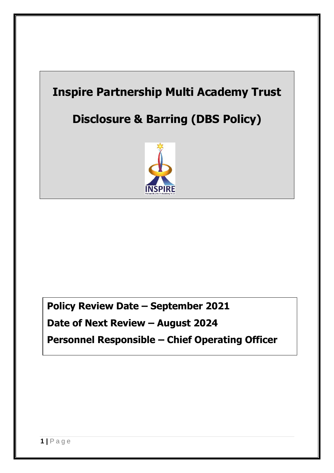# **Inspire Partnership Multi Academy Trust**

# **Disclosure & Barring (DBS Policy)**



**Policy Review Date – September 2021**

**Date of Next Review – August 2024**

**Personnel Responsible – Chief Operating Officer**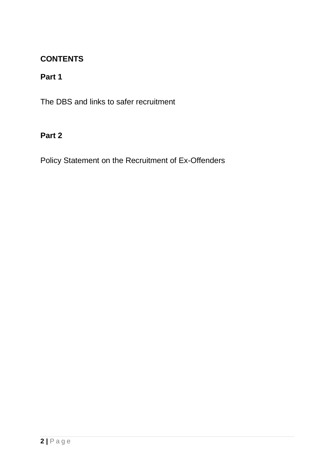## **CONTENTS**

# **Part 1**

The DBS and links to safer recruitment

## **Part 2**

Policy Statement on the Recruitment of Ex-Offenders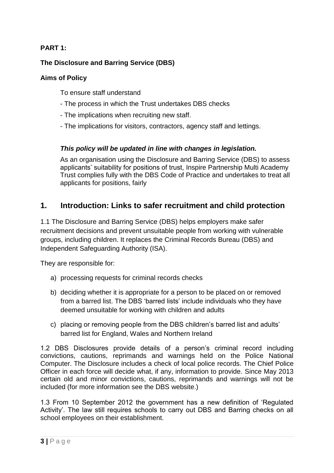### **PART 1:**

### **The Disclosure and Barring Service (DBS)**

#### **Aims of Policy**

To ensure staff understand

- The process in which the Trust undertakes DBS checks
- The implications when recruiting new staff.
- The implications for visitors, contractors, agency staff and lettings.

#### *This policy will be updated in line with changes in legislation.*

As an organisation using the Disclosure and Barring Service (DBS) to assess applicants' suitability for positions of trust, Inspire Partnership Multi Academy Trust complies fully with the DBS Code of Practice and undertakes to treat all applicants for positions, fairly

## **1. Introduction: Links to safer recruitment and child protection**

1.1 The Disclosure and Barring Service (DBS) helps employers make safer recruitment decisions and prevent unsuitable people from working with vulnerable groups, including children. It replaces the Criminal Records Bureau (DBS) and Independent Safeguarding Authority (ISA).

They are responsible for:

- a) processing requests for criminal records checks
- b) deciding whether it is appropriate for a person to be placed on or removed from a barred list. The DBS 'barred lists' include individuals who they have deemed unsuitable for working with children and adults
- c) placing or removing people from the DBS children's barred list and adults' barred list for England, Wales and Northern Ireland

1.2 DBS Disclosures provide details of a person's criminal record including convictions, cautions, reprimands and warnings held on the Police National Computer. The Disclosure includes a check of local police records. The Chief Police Officer in each force will decide what, if any, information to provide. Since May 2013 certain old and minor convictions, cautions, reprimands and warnings will not be included (for more information see the DBS website.)

1.3 From 10 September 2012 the government has a new definition of 'Regulated Activity'. The law still requires schools to carry out DBS and Barring checks on all school employees on their establishment.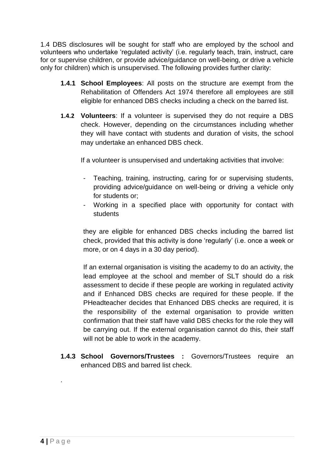1.4 DBS disclosures will be sought for staff who are employed by the school and volunteers who undertake 'regulated activity' (i.e. regularly teach, train, instruct, care for or supervise children, or provide advice/guidance on well-being, or drive a vehicle only for children) which is unsupervised. The following provides further clarity:

- **1.4.1 School Employees**: All posts on the structure are exempt from the Rehabilitation of Offenders Act 1974 therefore all employees are still eligible for enhanced DBS checks including a check on the barred list.
- **1.4.2 Volunteers**: If a volunteer is supervised they do not require a DBS check. However, depending on the circumstances including whether they will have contact with students and duration of visits, the school may undertake an enhanced DBS check.

If a volunteer is unsupervised and undertaking activities that involve:

- Teaching, training, instructing, caring for or supervising students, providing advice/guidance on well-being or driving a vehicle only for students or;
- Working in a specified place with opportunity for contact with students

they are eligible for enhanced DBS checks including the barred list check, provided that this activity is done 'regularly' (i.e. once a week or more, or on 4 days in a 30 day period).

If an external organisation is visiting the academy to do an activity, the lead employee at the school and member of SLT should do a risk assessment to decide if these people are working in regulated activity and if Enhanced DBS checks are required for these people. If the PHeadteacher decides that Enhanced DBS checks are required, it is the responsibility of the external organisation to provide written confirmation that their staff have valid DBS checks for the role they will be carrying out. If the external organisation cannot do this, their staff will not be able to work in the academy.

**1.4.3 School Governors/Trustees :** Governors/Trustees require an enhanced DBS and barred list check.

.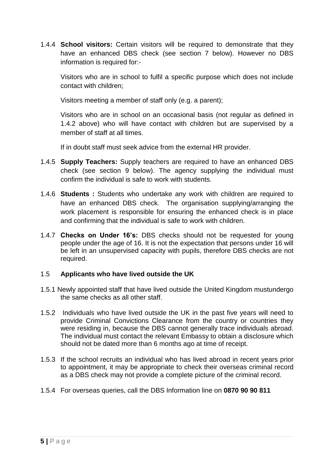1.4.4 **School visitors:** Certain visitors will be required to demonstrate that they have an enhanced DBS check (see section 7 below). However no DBS information is required for:-

Visitors who are in school to fulfil a specific purpose which does not include contact with children;

Visitors meeting a member of staff only (e.g. a parent);

Visitors who are in school on an occasional basis (not regular as defined in 1.4.2 above) who will have contact with children but are supervised by a member of staff at all times.

If in doubt staff must seek advice from the external HR provider.

- 1.4.5 **Supply Teachers:** Supply teachers are required to have an enhanced DBS check (see section 9 below). The agency supplying the individual must confirm the individual is safe to work with students.
- 1.4.6 **Students :** Students who undertake any work with children are required to have an enhanced DBS check. The organisation supplying/arranging the work placement is responsible for ensuring the enhanced check is in place and confirming that the individual is safe to work with children.
- 1.4.7 **Checks on Under 16's:** DBS checks should not be requested for young people under the age of 16. It is not the expectation that persons under 16 will be left in an unsupervised capacity with pupils, therefore DBS checks are not required.

#### 1.5 **Applicants who have lived outside the UK**

- 1.5.1 Newly appointed staff that have lived outside the United Kingdom mustundergo the same checks as all other staff.
- 1.5.2 Individuals who have lived outside the UK in the past five years will need to provide Criminal Convictions Clearance from the country or countries they were residing in, because the DBS cannot generally trace individuals abroad. The individual must contact the relevant Embassy to obtain a disclosure which should not be dated more than 6 months ago at time of receipt.
- 1.5.3 If the school recruits an individual who has lived abroad in recent years prior to appointment, it may be appropriate to check their overseas criminal record as a DBS check may not provide a complete picture of the criminal record.
- 1.5.4 For overseas queries, call the DBS Information line on **0870 90 90 811**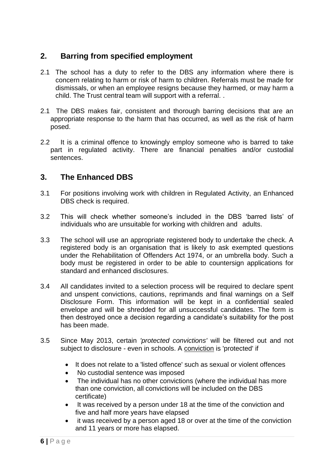## **2. Barring from specified employment**

- 2.1 The school has a duty to refer to the DBS any information where there is concern relating to harm or risk of harm to children. Referrals must be made for dismissals, or when an employee resigns because they harmed, or may harm a child. The Trust central team will support with a referral. .
- 2.1 The DBS makes fair, consistent and thorough barring decisions that are an appropriate response to the harm that has occurred, as well as the risk of harm posed.
- 2.2 It is a criminal offence to knowingly employ someone who is barred to take part in regulated activity. There are financial penalties and/or custodial sentences.

## **3. The Enhanced DBS**

- 3.1 For positions involving work with children in Regulated Activity, an Enhanced DBS check is required.
- 3.2 This will check whether someone's included in the DBS 'barred lists' of individuals who are unsuitable for working with children and adults.
- 3.3 The school will use an appropriate registered body to undertake the check. A registered body is an organisation that is likely to ask exempted questions under the Rehabilitation of Offenders Act 1974, or an umbrella body. Such a body must be registered in order to be able to countersign applications for standard and enhanced disclosures.
- 3.4 All candidates invited to a selection process will be required to declare spent and unspent convictions, cautions, reprimands and final warnings on a Self Disclosure Form. This information will be kept in a confidential sealed envelope and will be shredded for all unsuccessful candidates. The form is then destroyed once a decision regarding a candidate's suitability for the post has been made.
- 3.5 Since May 2013, certain *'protected convictions'* will be filtered out and not subject to disclosure - even in schools. A conviction is 'protected' if
	- It does not relate to a 'listed offence' such as sexual or violent offences
	- No custodial sentence was imposed
	- The individual has no other convictions (where the individual has more than one conviction, all convictions will be included on the DBS certificate)
	- It was received by a person under 18 at the time of the conviction and five and half more years have elapsed
	- it was received by a person aged 18 or over at the time of the conviction and 11 years or more has elapsed.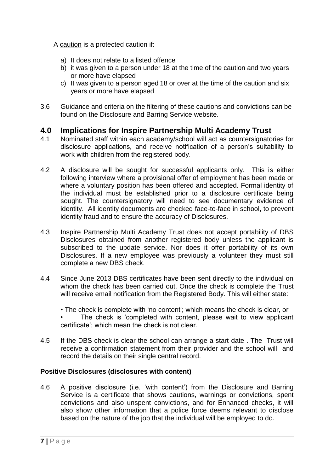A caution is a protected caution if:

- a) It does not relate to a listed offence
- b) it was given to a person under 18 at the time of the caution and two years or more have elapsed
- c) It was given to a person aged 18 or over at the time of the caution and six years or more have elapsed
- 3.6 Guidance and criteria on the filtering of these cautions and convictions can be found on the Disclosure and Barring Service website.

## **4.0 Implications for Inspire Partnership Multi Academy Trust**

- 4.1 Nominated staff within each academy/school will act as countersignatories for disclosure applications, and receive notification of a person's suitability to work with children from the registered body.
- 4.2 A disclosure will be sought for successful applicants only. This is either following interview where a provisional offer of employment has been made or where a voluntary position has been offered and accepted. Formal identity of the individual must be established prior to a disclosure certificate being sought. The countersignatory will need to see documentary evidence of identity. All identity documents are checked face-to-face in school, to prevent identity fraud and to ensure the accuracy of Disclosures.
- 4.3 Inspire Partnership Multi Academy Trust does not accept portability of DBS Disclosures obtained from another registered body unless the applicant is subscribed to the update service. Nor does it offer portability of its own Disclosures. If a new employee was previously a volunteer they must still complete a new DBS check.
- 4.4 Since June 2013 DBS certificates have been sent directly to the individual on whom the check has been carried out. Once the check is complete the Trust will receive email notification from the Registered Body. This will either state:
	- The check is complete with 'no content'; which means the check is clear, or The check is 'completed with content, please wait to view applicant certificate'; which mean the check is not clear.
- 4.5 If the DBS check is clear the school can arrange a start date . The Trust will receive a confirmation statement from their provider and the school will and record the details on their single central record.

#### **Positive Disclosures (disclosures with content)**

4.6 A positive disclosure (i.e. 'with content') from the Disclosure and Barring Service is a certificate that shows cautions, warnings or convictions, spent convictions and also unspent convictions, and for Enhanced checks, it will also show other information that a police force deems relevant to disclose based on the nature of the job that the individual will be employed to do.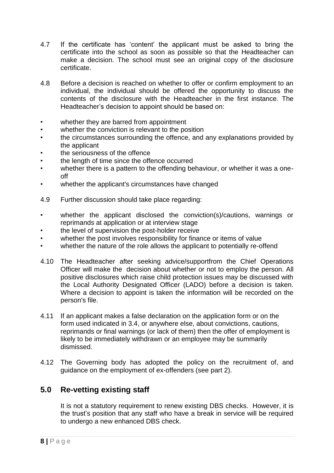- 4.7 If the certificate has 'content' the applicant must be asked to bring the certificate into the school as soon as possible so that the Headteacher can make a decision. The school must see an original copy of the disclosure certificate.
- 4.8 Before a decision is reached on whether to offer or confirm employment to an individual, the individual should be offered the opportunity to discuss the contents of the disclosure with the Headteacher in the first instance. The Headteacher's decision to appoint should be based on:
- whether they are barred from appointment
- whether the conviction is relevant to the position
- the circumstances surrounding the offence, and any explanations provided by the applicant
- the seriousness of the offence
- the length of time since the offence occurred
- whether there is a pattern to the offending behaviour, or whether it was a oneoff
- whether the applicant's circumstances have changed
- 4.9 Further discussion should take place regarding:
- whether the applicant disclosed the conviction(s)/cautions, warnings or reprimands at application or at interview stage
- the level of supervision the post-holder receive
- whether the post involves responsibility for finance or items of value
- whether the nature of the role allows the applicant to potentially re-offend
- 4.10 The Headteacher after seeking advice/supportfrom the Chief Operations Officer will make the decision about whether or not to employ the person. All positive disclosures which raise child protection issues may be discussed with the Local Authority Designated Officer (LADO) before a decision is taken. Where a decision to appoint is taken the information will be recorded on the person's file.
- 4.11 If an applicant makes a false declaration on the application form or on the form used indicated in 3.4, or anywhere else, about convictions, cautions, reprimands or final warnings (or lack of them) then the offer of employment is likely to be immediately withdrawn or an employee may be summarily dismissed.
- 4.12 The Governing body has adopted the policy on the recruitment of, and guidance on the employment of ex-offenders (see part 2).

## **5.0 Re-vetting existing staff**

It is not a statutory requirement to renew existing DBS checks. However, it is the trust's position that any staff who have a break in service will be required to undergo a new enhanced DBS check.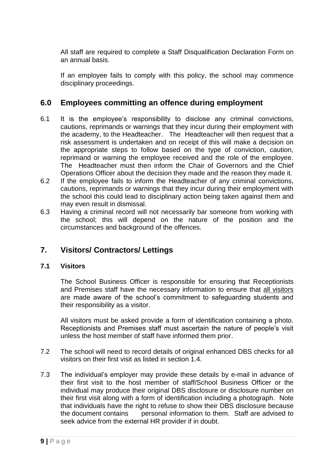All staff are required to complete a Staff Disqualification Declaration Form on an annual basis.

If an employee fails to comply with this policy, the school may commence disciplinary proceedings.

## **6.0 Employees committing an offence during employment**

- 6.1 It is the employee's responsibility to disclose any criminal convictions, cautions, reprimands or warnings that they incur during their employment with the academy, to the Headteacher. The Headteacher will then request that a risk assessment is undertaken and on receipt of this will make a decision on the appropriate steps to follow based on the type of conviction, caution, reprimand or warning the employee received and the role of the employee. The Headteacher must then inform the Chair of Governors and the Chief Operations Officer about the decision they made and the reason they made it.
- 6.2 If the employee fails to inform the Headteacher of any criminal convictions, cautions, reprimands or warnings that they incur during their employment with the school this could lead to disciplinary action being taken against them and may even result in dismissal.
- 6.3 Having a criminal record will not necessarily bar someone from working with the school; this will depend on the nature of the position and the circumstances and background of the offences.

## **7. Visitors/ Contractors/ Lettings**

#### **7.1 Visitors**

The School Business Officer is responsible for ensuring that Receptionists and Premises staff have the necessary information to ensure that all visitors are made aware of the school's commitment to safeguarding students and their responsibility as a visitor.

All visitors must be asked provide a form of identification containing a photo. Receptionists and Premises staff must ascertain the nature of people's visit unless the host member of staff have informed them prior.

- 7.2 The school will need to record details of original enhanced DBS checks for all visitors on their first visit as listed in section 1.4.
- 7.3 The individual's employer may provide these details by e-mail in advance of their first visit to the host member of staff/School Business Officer or the individual may produce their original DBS disclosure or disclosure number on their first visit along with a form of identification including a photograph. Note that individuals have the right to refuse to show their DBS disclosure because the document contains personal information to them. Staff are advised to seek advice from the external HR provider if in doubt.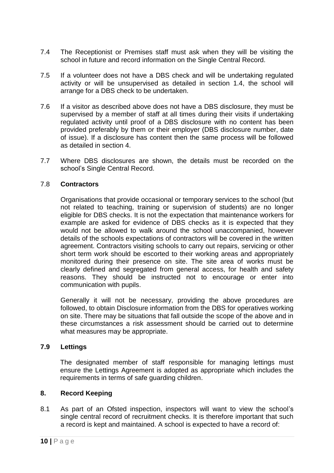- 7.4 The Receptionist or Premises staff must ask when they will be visiting the school in future and record information on the Single Central Record.
- 7.5 If a volunteer does not have a DBS check and will be undertaking regulated activity or will be unsupervised as detailed in section 1.4, the school will arrange for a DBS check to be undertaken.
- 7.6 If a visitor as described above does not have a DBS disclosure, they must be supervised by a member of staff at all times during their visits if undertaking regulated activity until proof of a DBS disclosure with no content has been provided preferably by them or their employer (DBS disclosure number, date of issue). If a disclosure has content then the same process will be followed as detailed in section 4.
- 7.7 Where DBS disclosures are shown, the details must be recorded on the school's Single Central Record.

#### 7.8 **Contractors**

Organisations that provide occasional or temporary services to the school (but not related to teaching, training or supervision of students) are no longer eligible for DBS checks. It is not the expectation that maintenance workers for example are asked for evidence of DBS checks as it is expected that they would not be allowed to walk around the school unaccompanied, however details of the schools expectations of contractors will be covered in the written agreement. Contractors visiting schools to carry out repairs, servicing or other short term work should be escorted to their working areas and appropriately monitored during their presence on site. The site area of works must be clearly defined and segregated from general access, for health and safety reasons. They should be instructed not to encourage or enter into communication with pupils.

Generally it will not be necessary, providing the above procedures are followed, to obtain Disclosure information from the DBS for operatives working on site. There may be situations that fall outside the scope of the above and in these circumstances a risk assessment should be carried out to determine what measures may be appropriate.

#### **7.9 Lettings**

The designated member of staff responsible for managing lettings must ensure the Lettings Agreement is adopted as appropriate which includes the requirements in terms of safe guarding children.

#### **8. Record Keeping**

8.1 As part of an Ofsted inspection, inspectors will want to view the school's single central record of recruitment checks. It is therefore important that such a record is kept and maintained. A school is expected to have a record of: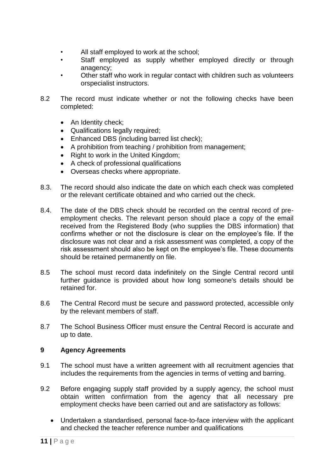- All staff employed to work at the school;
- Staff employed as supply whether employed directly or through anagency;
- Other staff who work in regular contact with children such as volunteers orspecialist instructors.
- 8.2 The record must indicate whether or not the following checks have been completed:
	- An Identity check:
	- Qualifications legally required;
	- Enhanced DBS (including barred list check);
	- A prohibition from teaching / prohibition from management;
	- Right to work in the United Kingdom;
	- A check of professional qualifications
	- Overseas checks where appropriate.
- 8.3. The record should also indicate the date on which each check was completed or the relevant certificate obtained and who carried out the check.
- 8.4. The date of the DBS check should be recorded on the central record of preemployment checks. The relevant person should place a copy of the email received from the Registered Body (who supplies the DBS information) that confirms whether or not the disclosure is clear on the employee's file. If the disclosure was not clear and a risk assessment was completed, a copy of the risk assessment should also be kept on the employee's file. These documents should be retained permanently on file.
- 8.5 The school must record data indefinitely on the Single Central record until further guidance is provided about how long someone's details should be retained for.
- 8.6 The Central Record must be secure and password protected, accessible only by the relevant members of staff.
- 8.7 The School Business Officer must ensure the Central Record is accurate and up to date.

#### **9 Agency Agreements**

- 9.1 The school must have a written agreement with all recruitment agencies that includes the requirements from the agencies in terms of vetting and barring.
- 9.2 Before engaging supply staff provided by a supply agency, the school must obtain written confirmation from the agency that all necessary pre employment checks have been carried out and are satisfactory as follows:
	- Undertaken a standardised, personal face-to-face interview with the applicant and checked the teacher reference number and qualifications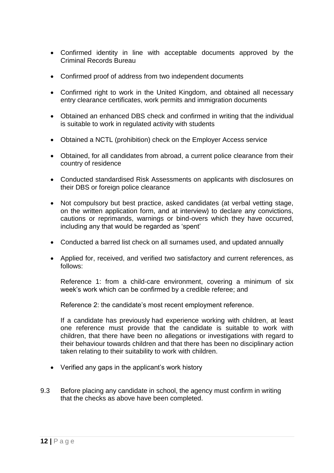- Confirmed identity in line with acceptable documents approved by the Criminal Records Bureau
- Confirmed proof of address from two independent documents
- Confirmed right to work in the United Kingdom, and obtained all necessary entry clearance certificates, work permits and immigration documents
- Obtained an enhanced DBS check and confirmed in writing that the individual is suitable to work in regulated activity with students
- Obtained a NCTL (prohibition) check on the Employer Access service
- Obtained, for all candidates from abroad, a current police clearance from their country of residence
- Conducted standardised Risk Assessments on applicants with disclosures on their DBS or foreign police clearance
- Not compulsory but best practice, asked candidates (at verbal vetting stage, on the written application form, and at interview) to declare any convictions, cautions or reprimands, warnings or bind-overs which they have occurred, including any that would be regarded as 'spent'
- Conducted a barred list check on all surnames used, and updated annually
- Applied for, received, and verified two satisfactory and current references, as follows:

Reference 1: from a child-care environment, covering a minimum of six week's work which can be confirmed by a credible referee; and

Reference 2: the candidate's most recent employment reference.

If a candidate has previously had experience working with children, at least one reference must provide that the candidate is suitable to work with children, that there have been no allegations or investigations with regard to their behaviour towards children and that there has been no disciplinary action taken relating to their suitability to work with children.

- Verified any gaps in the applicant's work history
- 9.3 Before placing any candidate in school, the agency must confirm in writing that the checks as above have been completed.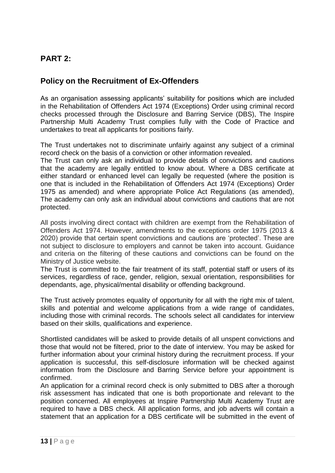## **PART 2:**

## **Policy on the Recruitment of Ex-Offenders**

As an organisation assessing applicants' suitability for positions which are included in the Rehabilitation of Offenders Act 1974 (Exceptions) Order using criminal record checks processed through the Disclosure and Barring Service (DBS), The Inspire Partnership Multi Academy Trust complies fully with the Code of Practice and undertakes to treat all applicants for positions fairly.

The Trust undertakes not to discriminate unfairly against any subject of a criminal record check on the basis of a conviction or other information revealed.

The Trust can only ask an individual to provide details of convictions and cautions that the academy are legally entitled to know about. Where a DBS certificate at either standard or enhanced level can legally be requested (where the position is one that is included in the Rehabilitation of Offenders Act 1974 (Exceptions) Order 1975 as amended) and where appropriate Police Act Regulations (as amended), The academy can only ask an individual about convictions and cautions that are not protected.

All posts involving direct contact with children are exempt from the Rehabilitation of Offenders Act 1974. However, amendments to the exceptions order 1975 (2013 & 2020) provide that certain spent convictions and cautions are 'protected'. These are not subject to disclosure to employers and cannot be taken into account. Guidance and criteria on the filtering of these cautions and convictions can be found on the Ministry of Justice website.

The Trust is committed to the fair treatment of its staff, potential staff or users of its services, regardless of race, gender, religion, sexual orientation, responsibilities for dependants, age, physical/mental disability or offending background.

The Trust actively promotes equality of opportunity for all with the right mix of talent, skills and potential and welcome applications from a wide range of candidates, including those with criminal records. The schools select all candidates for interview based on their skills, qualifications and experience.

Shortlisted candidates will be asked to provide details of all unspent convictions and those that would not be filtered, prior to the date of interview. You may be asked for further information about your criminal history during the recruitment process. If your application is successful, this self-disclosure information will be checked against information from the Disclosure and Barring Service before your appointment is confirmed.

An application for a criminal record check is only submitted to DBS after a thorough risk assessment has indicated that one is both proportionate and relevant to the position concerned. All employees at Inspire Partnership Multi Academy Trust are required to have a DBS check. All application forms, and job adverts will contain a statement that an application for a DBS certificate will be submitted in the event of